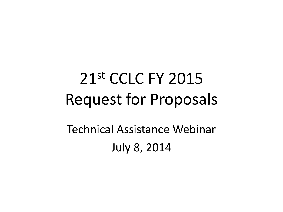### 21st CCLC FY 2015 Request for Proposals

Technical Assistance Webinar July 8, 2014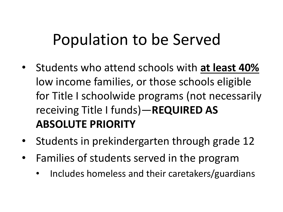### Population to be Served

- Students who attend schools with **at least 40%**  low income families, or those schools eligible for Title I schoolwide programs (not necessarily receiving Title I funds)—**REQUIRED AS ABSOLUTE PRIORITY**
- Students in prekindergarten through grade 12
- Families of students served in the program
	- Includes homeless and their caretakers/guardians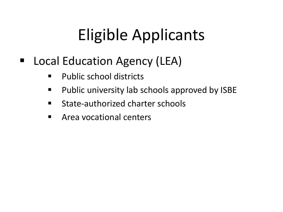### Eligible Applicants

### ■ Local Education Agency (LEA)

- **Public school districts**
- **Public university lab schools approved by ISBE**
- **E** State-authorized charter schools
- **E** Area vocational centers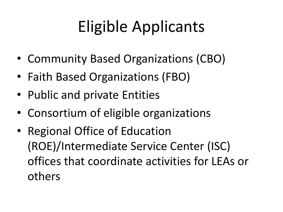## Eligible Applicants

- Community Based Organizations (CBO)
- Faith Based Organizations (FBO)
- Public and private Entities
- Consortium of eligible organizations
- Regional Office of Education (ROE)/Intermediate Service Center (ISC) offices that coordinate activities for LEAs or others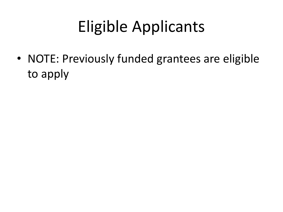## Eligible Applicants

• NOTE: Previously funded grantees are eligible to apply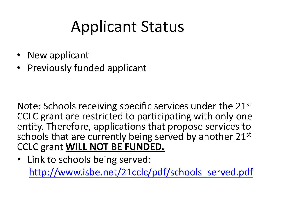### Applicant Status

- New applicant
- Previously funded applicant

Note: Schools receiving specific services under the 21st CCLC grant are restricted to participating with only one entity. Therefore, applications that propose services to schools that are currently being served by another 21st CCLC grant **WILL NOT BE FUNDED.** 

• Link to schools being served: [http://www.isbe.net/21cclc/pdf/schools\\_served.pdf](http://www.isbe.net/21cclc/pdf/schools_served.pdf)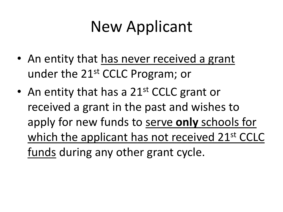### New Applicant

- An entity that has never received a grant under the 21st CCLC Program; or
- An entity that has a  $21^{st}$  CCLC grant or received a grant in the past and wishes to apply for new funds to serve **only** schools for which the applicant has not received 21<sup>st</sup> CCLC funds during any other grant cycle.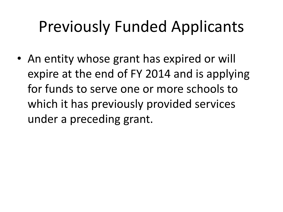### Previously Funded Applicants

• An entity whose grant has expired or will expire at the end of FY 2014 and is applying for funds to serve one or more schools to which it has previously provided services under a preceding grant.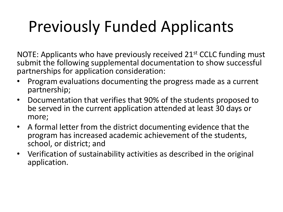### Previously Funded Applicants

NOTE: Applicants who have previously received  $21<sup>st</sup>$  CCLC funding must submit the following supplemental documentation to show successful partnerships for application consideration:

- Program evaluations documenting the progress made as a current partnership;
- Documentation that verifies that 90% of the students proposed to be served in the current application attended at least 30 days or more;
- A formal letter from the district documenting evidence that the program has increased academic achievement of the students, school, or district; and
- Verification of sustainability activities as described in the original application.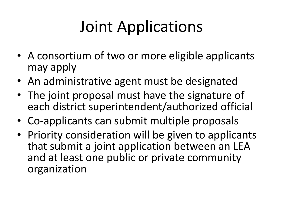### Joint Applications

- A consortium of two or more eligible applicants may apply
- An administrative agent must be designated
- The joint proposal must have the signature of each district superintendent/authorized official
- Co-applicants can submit multiple proposals
- Priority consideration will be given to applicants that submit a joint application between an LEA and at least one public or private community organization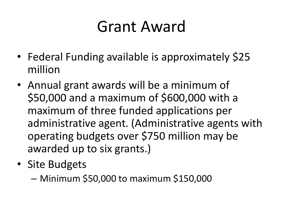### Grant Award

- Federal Funding available is approximately \$25 million
- Annual grant awards will be a minimum of \$50,000 and a maximum of \$600,000 with a maximum of three funded applications per administrative agent. (Administrative agents with operating budgets over \$750 million may be awarded up to six grants.)
- Site Budgets
	- Minimum \$50,000 to maximum \$150,000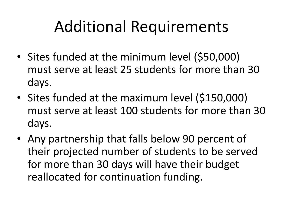### Additional Requirements

- Sites funded at the minimum level (\$50,000) must serve at least 25 students for more than 30 days.
- Sites funded at the maximum level (\$150,000) must serve at least 100 students for more than 30 days.
- Any partnership that falls below 90 percent of their projected number of students to be served for more than 30 days will have their budget reallocated for continuation funding.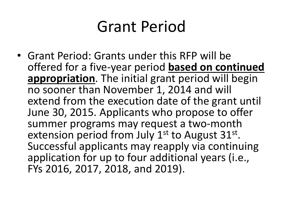### Grant Period

• Grant Period: Grants under this RFP will be offered for a five-year period **based on continued appropriation**. The initial grant period will begin no sooner than November 1, 2014 and will extend from the execution date of the grant until June 30, 2015. Applicants who propose to offer summer programs may request a two-month extension period from July 1<sup>st</sup> to August 31<sup>st</sup>. Successful applicants may reapply via continuing application for up to four additional years (i.e., FYs 2016, 2017, 2018, and 2019).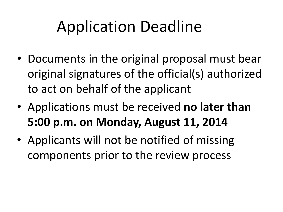### Application Deadline

- Documents in the original proposal must bear original signatures of the official(s) authorized to act on behalf of the applicant
- Applications must be received **no later than 5:00 p.m. on Monday, August 11, 2014**
- Applicants will not be notified of missing components prior to the review process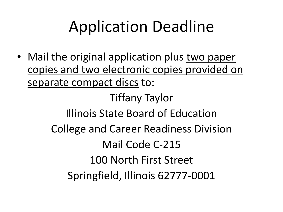### Application Deadline

• Mail the original application plus two paper copies and two electronic copies provided on separate compact discs to:

> Tiffany Taylor Illinois State Board of Education College and Career Readiness Division Mail Code C-215 100 North First Street Springfield, Illinois 62777-0001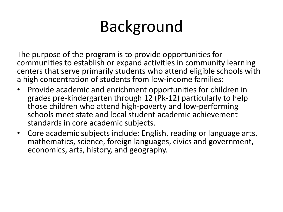### Background

The purpose of the program is to provide opportunities for communities to establish or expand activities in community learning centers that serve primarily students who attend eligible schools with a high concentration of students from low-income families:

- Provide academic and enrichment opportunities for children in grades pre-kindergarten through 12 (Pk-12) particularly to help those children who attend high-poverty and low-performing schools meet state and local student academic achievement standards in core academic subjects.
- Core academic subjects include: English, reading or language arts, mathematics, science, foreign languages, civics and government, economics, arts, history, and geography.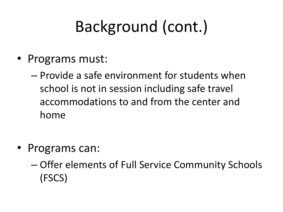## Background (cont.)

- Programs must:
	- Provide a safe environment for students when school is not in session including safe travel accommodations to and from the center and home
- Programs can:
	- Offer elements of Full Service Community Schools (FSCS)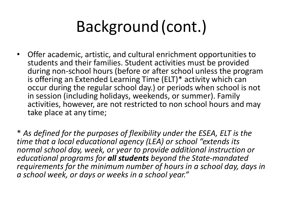### Background (cont.)

• Offer academic, artistic, and cultural enrichment opportunities to students and their families. Student activities must be provided during non-school hours (before or after school unless the program is offering an Extended Learning Time (ELT)\* activity which can occur during the regular school day.) or periods when school is not in session (including holidays, weekends, or summer). Family activities, however, are not restricted to non school hours and may take place at any time;

\* *As defined for the purposes of flexibility under the ESEA, ELT is the time that a local educational agency (LEA) or school "extends its normal school day, week, or year to provide additional instruction or educational programs for all students beyond the State-mandated requirements for the minimum number of hours in a school day, days in a school week, or days or weeks in a school year."*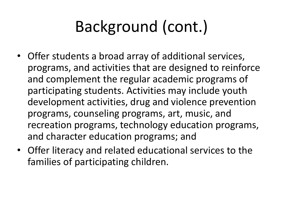## Background (cont.)

- Offer students a broad array of additional services, programs, and activities that are designed to reinforce and complement the regular academic programs of participating students. Activities may include youth development activities, drug and violence prevention programs, counseling programs, art, music, and recreation programs, technology education programs, and character education programs; and
- Offer literacy and related educational services to the families of participating children.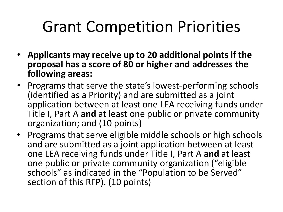### Grant Competition Priorities

- **Applicants may receive up to 20 additional points if the proposal has a score of 80 or higher and addresses the following areas:**
- Programs that serve the state's lowest-performing schools (identified as a Priority) and are submitted as a joint application between at least one LEA receiving funds under Title I, Part A **and** at least one public or private community organization; and (10 points)
- Programs that serve eligible middle schools or high schools and are submitted as a joint application between at least one LEA receiving funds under Title I, Part A **and** at least one public or private community organization ("eligible schools" as indicated in the "Population to be Served" section of this RFP). (10 points)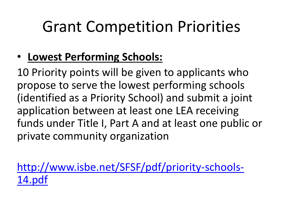### Grant Competition Priorities

### • **Lowest Performing Schools:**

10 Priority points will be given to applicants who propose to serve the lowest performing schools (identified as a Priority School) and submit a joint application between at least one LEA receiving funds under Title I, Part A and at least one public or private community organization

[http://www.isbe.net/SFSF/pdf/priority-schools-](http://www.isbe.net/SFSF/pdf/priority-schools-14.pdf)[14.pdf](http://www.isbe.net/SFSF/pdf/priority-schools-14.pdf)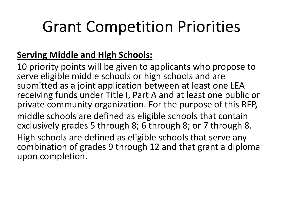### Grant Competition Priorities

#### **Serving Middle and High Schools:**

10 priority points will be given to applicants who propose to serve eligible middle schools or high schools and are submitted as a joint application between at least one LEA receiving funds under Title I, Part A and at least one public or private community organization. For the purpose of this RFP, middle schools are defined as eligible schools that contain exclusively grades 5 through 8; 6 through 8; or 7 through 8. High schools are defined as eligible schools that serve any combination of grades 9 through 12 and that grant a diploma upon completion.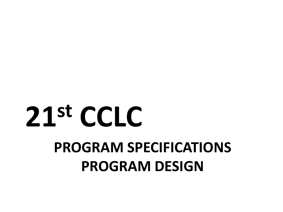# **PROGRAM SPECIFICATIONS PROGRAM DESIGN 21st CCLC**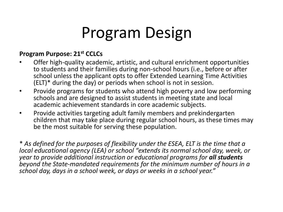### Program Design

#### **Program Purpose: 21st CCLCs**

- Offer high-quality academic, artistic, and cultural enrichment opportunities to students and their families during non-school hours (i.e., before or after school unless the applicant opts to offer Extended Learning Time Activities (ELT)\* during the day) or periods when school is not in session.
- Provide programs for students who attend high poverty and low performing schools and are designed to assist students in meeting state and local academic achievement standards in core academic subjects.
- Provide activities targeting adult family members and prekindergarten children that may take place during regular school hours, as these times may be the most suitable for serving these population.

\* *As defined for the purposes of flexibility under the ESEA, ELT is the time that a local educational agency (LEA) or school "extends its normal school day, week, or year to provide additional instruction or educational programs for all students beyond the State-mandated requirements for the minimum number of hours in a school day, days in a school week, or days or weeks in a school year."*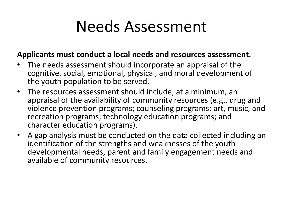### Needs Assessment

#### **Applicants must conduct a local needs and resources assessment.**

- The needs assessment should incorporate an appraisal of the cognitive, social, emotional, physical, and moral development of the youth population to be served.
- The resources assessment should include, at a minimum, an appraisal of the availability of community resources (e.g., drug and violence prevention programs; counseling programs; art, music, and recreation programs; technology education programs; and character education programs).
- A gap analysis must be conducted on the data collected including an identification of the strengths and weaknesses of the youth developmental needs, parent and family engagement needs and available of community resources.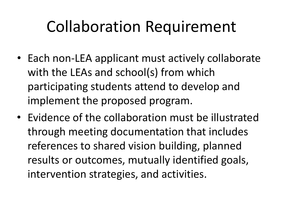### Collaboration Requirement

- Each non-LEA applicant must actively collaborate with the LEAs and school(s) from which participating students attend to develop and implement the proposed program.
- Evidence of the collaboration must be illustrated through meeting documentation that includes references to shared vision building, planned results or outcomes, mutually identified goals, intervention strategies, and activities.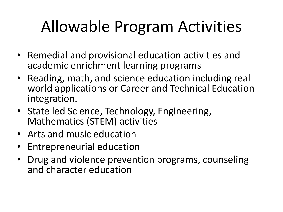### Allowable Program Activities

- Remedial and provisional education activities and academic enrichment learning programs
- Reading, math, and science education including real world applications or Career and Technical Education integration.
- State led Science, Technology, Engineering, Mathematics (STEM) activities
- Arts and music education
- Entrepreneurial education
- Drug and violence prevention programs, counseling and character education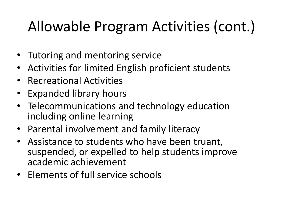### Allowable Program Activities (cont.)

- Tutoring and mentoring service
- Activities for limited English proficient students
- Recreational Activities
- Expanded library hours
- Telecommunications and technology education including online learning
- Parental involvement and family literacy
- Assistance to students who have been truant, suspended, or expelled to help students improve academic achievement
- Elements of full service schools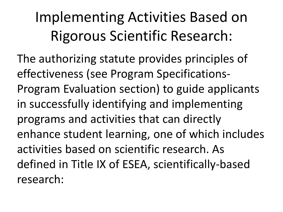### Implementing Activities Based on Rigorous Scientific Research:

The authorizing statute provides principles of effectiveness (see Program Specifications-Program Evaluation section) to guide applicants in successfully identifying and implementing programs and activities that can directly enhance student learning, one of which includes activities based on scientific research. As defined in Title IX of ESEA, scientifically-based research: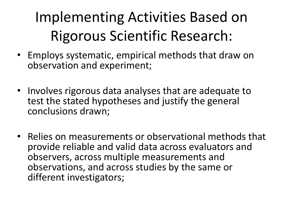### Implementing Activities Based on Rigorous Scientific Research:

- Employs systematic, empirical methods that draw on observation and experiment;
- Involves rigorous data analyses that are adequate to test the stated hypotheses and justify the general conclusions drawn;
- Relies on measurements or observational methods that provide reliable and valid data across evaluators and observers, across multiple measurements and observations, and across studies by the same or different investigators;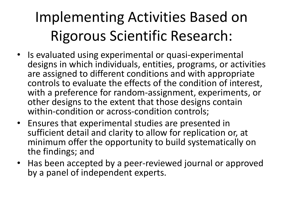### Implementing Activities Based on Rigorous Scientific Research:

- Is evaluated using experimental or quasi-experimental designs in which individuals, entities, programs, or activities are assigned to different conditions and with appropriate controls to evaluate the effects of the condition of interest, with a preference for random-assignment, experiments, or other designs to the extent that those designs contain within-condition or across-condition controls;
- Ensures that experimental studies are presented in sufficient detail and clarity to allow for replication or, at minimum offer the opportunity to build systematically on the findings; and
- Has been accepted by a peer-reviewed journal or approved by a panel of independent experts.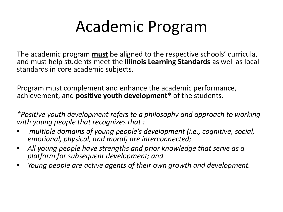### Academic Program

The academic program **must** be aligned to the respective schools' curricula, and must help students meet the **Illinois Learning Standards** as well as local standards in core academic subjects.

Program must complement and enhance the academic performance, achievement, and **positive youth development\*** of the students.

*\*Positive youth development refers to a philosophy and approach to working with young people that recognizes that :* 

- *multiple domains of young people's development (i.e., cognitive, social, emotional, physical, and moral) are interconnected;*
- *All young people have strengths and prior knowledge that serve as a platform for subsequent development; and*
- *Young people are active agents of their own growth and development.*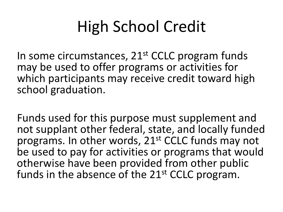### High School Credit

In some circumstances, 21<sup>st</sup> CCLC program funds may be used to offer programs or activities for which participants may receive credit toward high school graduation.

Funds used for this purpose must supplement and not supplant other federal, state, and locally funded programs. In other words, 21<sup>st</sup> CCLC funds may not be used to pay for activities or programs that would otherwise have been provided from other public funds in the absence of the 21<sup>st</sup> CCLC program.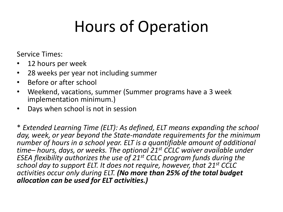### Hours of Operation

Service Times:

- 12 hours per week
- 28 weeks per year not including summer
- Before or after school
- Weekend, vacations, summer (Summer programs have a 3 week implementation minimum.)
- Days when school is not in session

\* *Extended Learning Time (ELT): As defined, ELT means expanding the school day, week, or year beyond the State-mandate requirements for the minimum number of hours in a school year. ELT is a quantifiable amount of additional time– hours, days, or weeks. The optional 21st CCLC waiver available under ESEA flexibility authorizes the use of 21st CCLC program funds during the school day to support ELT. It does not require, however, that 21st CCLC activities occur only during ELT. (No more than 25% of the total budget allocation can be used for ELT activities.)*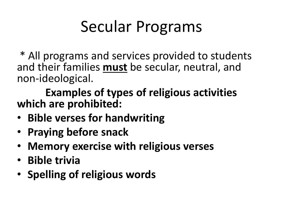### Secular Programs

\* All programs and services provided to students and their families **must** be secular, neutral, and non-ideological.

**Examples of types of religious activities which are prohibited:** 

- **Bible verses for handwriting**
- **Praying before snack**
- **Memory exercise with religious verses**
- **Bible trivia**
- **Spelling of religious words**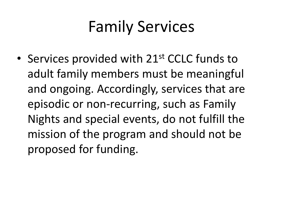### Family Services

• Services provided with 21<sup>st</sup> CCLC funds to adult family members must be meaningful and ongoing. Accordingly, services that are episodic or non-recurring, such as Family Nights and special events, do not fulfill the mission of the program and should not be proposed for funding.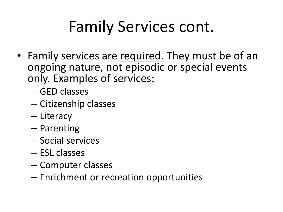# Family Services cont.

- Family services are required. They must be of an ongoing nature, not episodic or special events only. Examples of services:
	- GED classes
	- Citizenship classes
	- Literacy
	- Parenting
	- Social services
	- ESL classes
	- Computer classes
	- Enrichment or recreation opportunities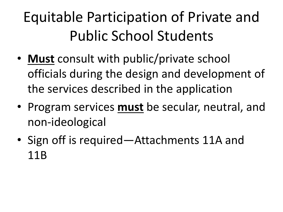### Equitable Participation of Private and Public School Students

- **Must** consult with public/private school officials during the design and development of the services described in the application
- Program services **must** be secular, neutral, and non-ideological
- Sign off is required—Attachments 11A and 11B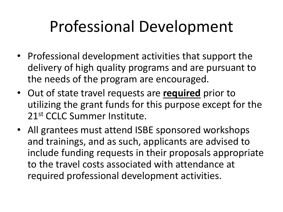## Professional Development

- Professional development activities that support the delivery of high quality programs and are pursuant to the needs of the program are encouraged.
- Out of state travel requests are **required** prior to utilizing the grant funds for this purpose except for the 21st CCLC Summer Institute.
- All grantees must attend ISBE sponsored workshops and trainings, and as such, applicants are advised to include funding requests in their proposals appropriate to the travel costs associated with attendance at required professional development activities.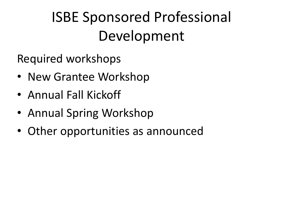### ISBE Sponsored Professional Development

Required workshops

- New Grantee Workshop
- Annual Fall Kickoff
- Annual Spring Workshop
- Other opportunities as announced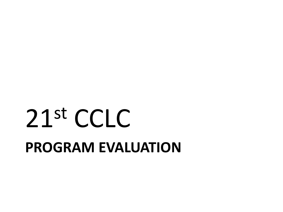# **PROGRAM EVALUATION**  21st CCLC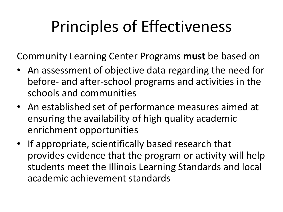# Principles of Effectiveness

Community Learning Center Programs **must** be based on

- An assessment of objective data regarding the need for before- and after-school programs and activities in the schools and communities
- An established set of performance measures aimed at ensuring the availability of high quality academic enrichment opportunities
- If appropriate, scientifically based research that provides evidence that the program or activity will help students meet the Illinois Learning Standards and local academic achievement standards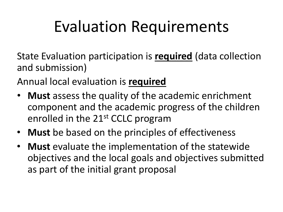### Evaluation Requirements

State Evaluation participation is **required** (data collection and submission)

Annual local evaluation is **required** 

- **Must** assess the quality of the academic enrichment component and the academic progress of the children enrolled in the 21st CCLC program
- **Must** be based on the principles of effectiveness
- **Must** evaluate the implementation of the statewide objectives and the local goals and objectives submitted as part of the initial grant proposal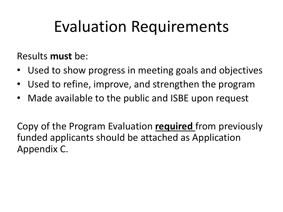### Evaluation Requirements

Results **must** be:

- Used to show progress in meeting goals and objectives
- Used to refine, improve, and strengthen the program
- Made available to the public and ISBE upon request

Copy of the Program Evaluation **required** from previously funded applicants should be attached as Application Appendix C.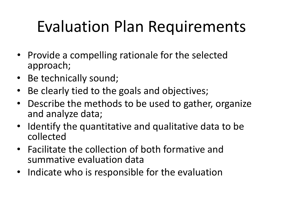## Evaluation Plan Requirements

- Provide a compelling rationale for the selected approach;
- Be technically sound;
- Be clearly tied to the goals and objectives;
- Describe the methods to be used to gather, organize and analyze data;
- Identify the quantitative and qualitative data to be collected
- Facilitate the collection of both formative and summative evaluation data
- Indicate who is responsible for the evaluation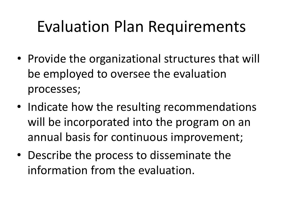### Evaluation Plan Requirements

- Provide the organizational structures that will be employed to oversee the evaluation processes;
- Indicate how the resulting recommendations will be incorporated into the program on an annual basis for continuous improvement;
- Describe the process to disseminate the information from the evaluation.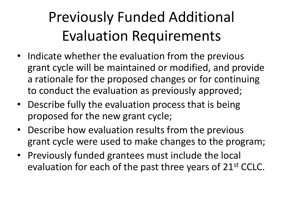### Previously Funded Additional Evaluation Requirements

- Indicate whether the evaluation from the previous grant cycle will be maintained or modified, and provide a rationale for the proposed changes or for continuing to conduct the evaluation as previously approved;
- Describe fully the evaluation process that is being proposed for the new grant cycle;
- Describe how evaluation results from the previous grant cycle were used to make changes to the program;
- Previously funded grantees must include the local evaluation for each of the past three years of 21<sup>st</sup> CCLC.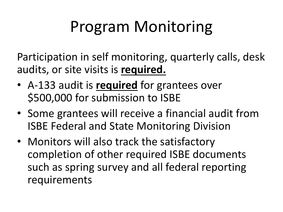# Program Monitoring

Participation in self monitoring, quarterly calls, desk audits, or site visits is **required.** 

- A-133 audit is **required** for grantees over \$500,000 for submission to ISBE
- Some grantees will receive a financial audit from ISBE Federal and State Monitoring Division
- Monitors will also track the satisfactory completion of other required ISBE documents such as spring survey and all federal reporting requirements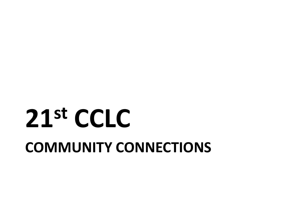# **COMMUNITY CONNECTIONS 21st CCLC**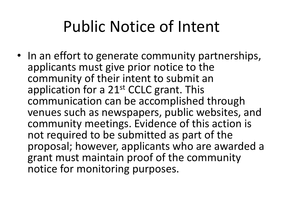### Public Notice of Intent

• In an effort to generate community partnerships, applicants must give prior notice to the community of their intent to submit an application for a  $21<sup>st</sup>$  CCLC grant. This communication can be accomplished through venues such as newspapers, public websites, and community meetings. Evidence of this action is not required to be submitted as part of the proposal; however, applicants who are awarded a grant must maintain proof of the community notice for monitoring purposes.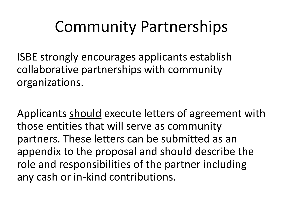### Community Partnerships

ISBE strongly encourages applicants establish collaborative partnerships with community organizations.

Applicants should execute letters of agreement with those entities that will serve as community partners. These letters can be submitted as an appendix to the proposal and should describe the role and responsibilities of the partner including any cash or in-kind contributions.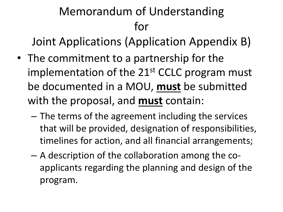#### Memorandum of Understanding for

Joint Applications (Application Appendix B)

- The commitment to a partnership for the implementation of the  $21<sup>st</sup>$  CCLC program must be documented in a MOU, **must** be submitted with the proposal, and **must** contain:
	- The terms of the agreement including the services that will be provided, designation of responsibilities, timelines for action, and all financial arrangements;
	- A description of the collaboration among the coapplicants regarding the planning and design of the program.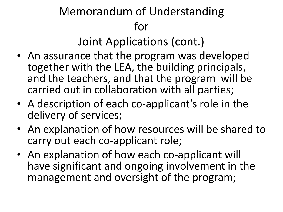#### Memorandum of Understanding for

Joint Applications (cont.)

- An assurance that the program was developed together with the LEA, the building principals, and the teachers, and that the program will be carried out in collaboration with all parties;
- A description of each co-applicant's role in the delivery of services;
- An explanation of how resources will be shared to carry out each co-applicant role;
- An explanation of how each co-applicant will have significant and ongoing involvement in the management and oversight of the program;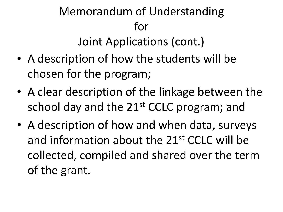#### Memorandum of Understanding for Joint Applications (cont.)

- A description of how the students will be chosen for the program;
- A clear description of the linkage between the school day and the 21<sup>st</sup> CCLC program; and
- A description of how and when data, surveys and information about the 21st CCLC will be collected, compiled and shared over the term of the grant.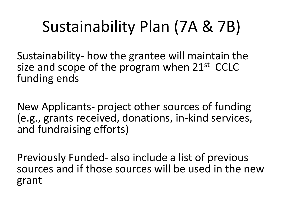# Sustainability Plan (7A & 7B)

Sustainability- how the grantee will maintain the size and scope of the program when  $21^{st}$  CCLC funding ends

New Applicants- project other sources of funding (e.g., grants received, donations, in-kind services, and fundraising efforts)

Previously Funded- also include a list of previous sources and if those sources will be used in the new grant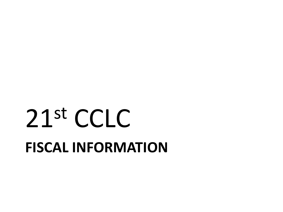# **FISCAL INFORMATION**  21st CCLC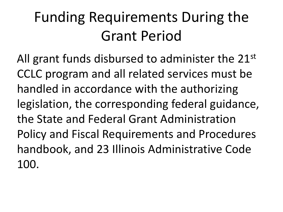### Funding Requirements During the Grant Period

All grant funds disbursed to administer the 21<sup>st</sup> CCLC program and all related services must be handled in accordance with the authorizing legislation, the corresponding federal guidance, the State and Federal Grant Administration Policy and Fiscal Requirements and Procedures handbook, and 23 Illinois Administrative Code 100.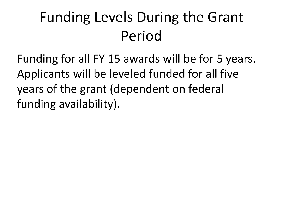### Funding Levels During the Grant Period

Funding for all FY 15 awards will be for 5 years. Applicants will be leveled funded for all five years of the grant (dependent on federal funding availability).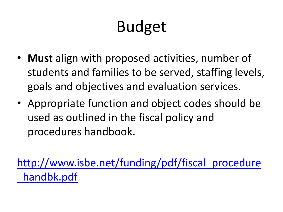# Budget

- **Must** align with proposed activities, number of students and families to be served, staffing levels, goals and objectives and evaluation services.
- Appropriate function and object codes should be used as outlined in the fiscal policy and procedures handbook.

[http://www.isbe.net/funding/pdf/fiscal\\_procedure](http://www.isbe.net/funding/pdf/fiscal_procedure_handbk.pdf) handbk.pdf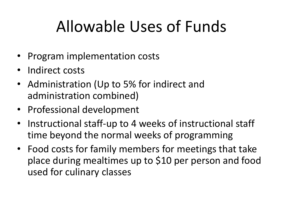# Allowable Uses of Funds

- Program implementation costs
- Indirect costs
- Administration (Up to 5% for indirect and administration combined)
- Professional development
- Instructional staff-up to 4 weeks of instructional staff time beyond the normal weeks of programming
- Food costs for family members for meetings that take place during mealtimes up to \$10 per person and food used for culinary classes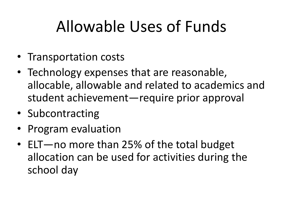## Allowable Uses of Funds

- Transportation costs
- Technology expenses that are reasonable, allocable, allowable and related to academics and student achievement—require prior approval
- Subcontracting
- Program evaluation
- ELT—no more than 25% of the total budget allocation can be used for activities during the school day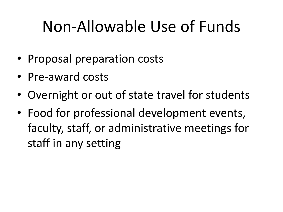### Non-Allowable Use of Funds

- Proposal preparation costs
- Pre-award costs
- Overnight or out of state travel for students
- Food for professional development events, faculty, staff, or administrative meetings for staff in any setting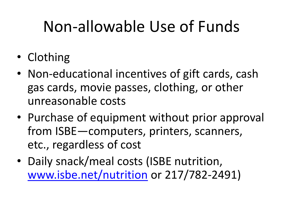## Non-allowable Use of Funds

- Clothing
- Non-educational incentives of gift cards, cash gas cards, movie passes, clothing, or other unreasonable costs
- Purchase of equipment without prior approval from ISBE—computers, printers, scanners, etc., regardless of cost
- Daily snack/meal costs (ISBE nutrition, [www.isbe.net/nutrition](http://www.isbe.net/nutrition) or 217/782-2491)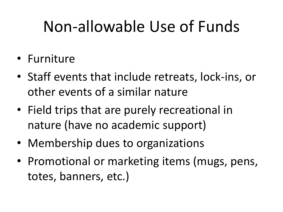### Non-allowable Use of Funds

- Furniture
- Staff events that include retreats, lock-ins, or other events of a similar nature
- Field trips that are purely recreational in nature (have no academic support)
- Membership dues to organizations
- Promotional or marketing items (mugs, pens, totes, banners, etc.)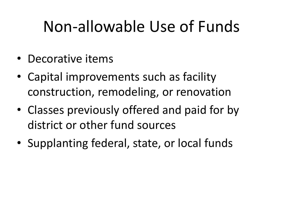### Non-allowable Use of Funds

- Decorative items
- Capital improvements such as facility construction, remodeling, or renovation
- Classes previously offered and paid for by district or other fund sources
- Supplanting federal, state, or local funds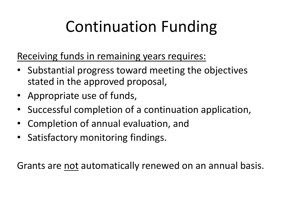# Continuation Funding

Receiving funds in remaining years requires:

- Substantial progress toward meeting the objectives stated in the approved proposal,
- Appropriate use of funds,
- Successful completion of a continuation application,
- Completion of annual evaluation, and
- Satisfactory monitoring findings.

Grants are not automatically renewed on an annual basis.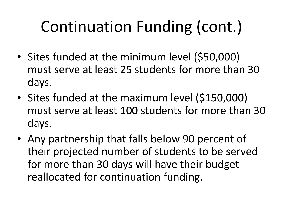# Continuation Funding (cont.)

- Sites funded at the minimum level (\$50,000) must serve at least 25 students for more than 30 days.
- Sites funded at the maximum level (\$150,000) must serve at least 100 students for more than 30 days.
- Any partnership that falls below 90 percent of their projected number of students to be served for more than 30 days will have their budget reallocated for continuation funding.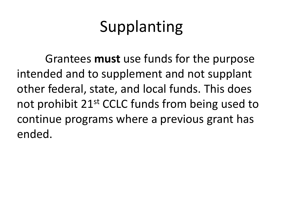# Supplanting

 Grantees **must** use funds for the purpose intended and to supplement and not supplant other federal, state, and local funds. This does not prohibit 21<sup>st</sup> CCLC funds from being used to continue programs where a previous grant has ended.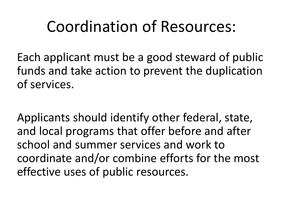#### Coordination of Resources:

Each applicant must be a good steward of public funds and take action to prevent the duplication of services.

Applicants should identify other federal, state, and local programs that offer before and after school and summer services and work to coordinate and/or combine efforts for the most effective uses of public resources.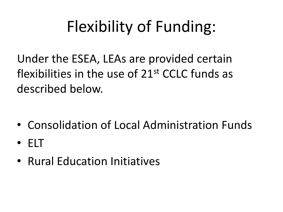# Flexibility of Funding:

Under the ESEA, LEAs are provided certain flexibilities in the use of 21st CCLC funds as described below.

- Consolidation of Local Administration Funds
- ELT
- Rural Education Initiatives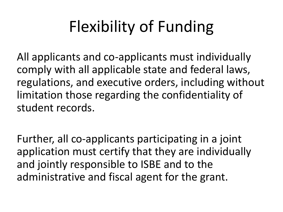# Flexibility of Funding

All applicants and co-applicants must individually comply with all applicable state and federal laws, regulations, and executive orders, including without limitation those regarding the confidentiality of student records.

Further, all co-applicants participating in a joint application must certify that they are individually and jointly responsible to ISBE and to the administrative and fiscal agent for the grant.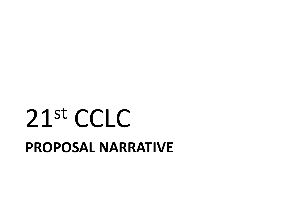# **PROPOSAL NARRATIVE**  21st CCLC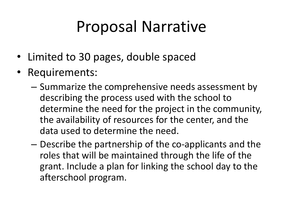### Proposal Narrative

- Limited to 30 pages, double spaced
- Requirements:
	- Summarize the comprehensive needs assessment by describing the process used with the school to determine the need for the project in the community, the availability of resources for the center, and the data used to determine the need.
	- Describe the partnership of the co-applicants and the roles that will be maintained through the life of the grant. Include a plan for linking the school day to the afterschool program.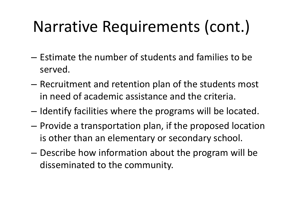- Estimate the number of students and families to be served.
- Recruitment and retention plan of the students most in need of academic assistance and the criteria.
- Identify facilities where the programs will be located.
- Provide a transportation plan, if the proposed location is other than an elementary or secondary school.
- Describe how information about the program will be disseminated to the community.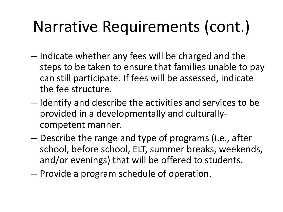- Indicate whether any fees will be charged and the steps to be taken to ensure that families unable to pay can still participate. If fees will be assessed, indicate the fee structure.
- Identify and describe the activities and services to be provided in a developmentally and culturallycompetent manner.
- Describe the range and type of programs (i.e., after school, before school, ELT, summer breaks, weekends, and/or evenings) that will be offered to students.
- Provide a program schedule of operation.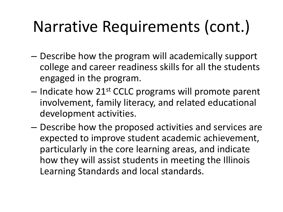- Describe how the program will academically support college and career readiness skills for all the students engaged in the program.
- $-$  Indicate how 21st CCLC programs will promote parent involvement, family literacy, and related educational development activities.
- Describe how the proposed activities and services are expected to improve student academic achievement, particularly in the core learning areas, and indicate how they will assist students in meeting the Illinois Learning Standards and local standards.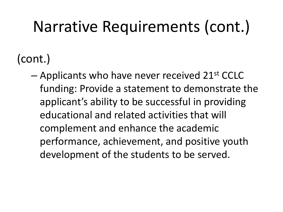(cont.)

 $-$  Applicants who have never received 21st CCLC funding: Provide a statement to demonstrate the applicant's ability to be successful in providing educational and related activities that will complement and enhance the academic performance, achievement, and positive youth development of the students to be served.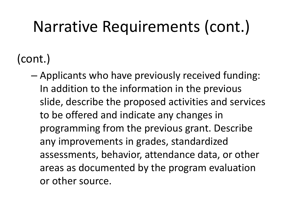(cont.)

– Applicants who have previously received funding: In addition to the information in the previous slide, describe the proposed activities and services to be offered and indicate any changes in programming from the previous grant. Describe any improvements in grades, standardized assessments, behavior, attendance data, or other areas as documented by the program evaluation or other source.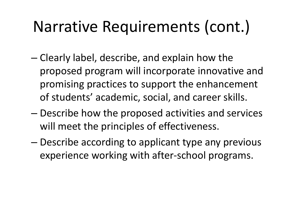- Clearly label, describe, and explain how the proposed program will incorporate innovative and promising practices to support the enhancement of students' academic, social, and career skills.
- Describe how the proposed activities and services will meet the principles of effectiveness.
- Describe according to applicant type any previous experience working with after-school programs.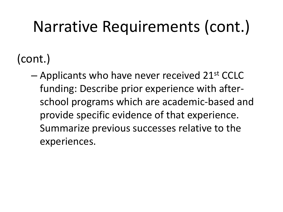(cont.)

 $-$  Applicants who have never received 21st CCLC funding: Describe prior experience with afterschool programs which are academic-based and provide specific evidence of that experience. Summarize previous successes relative to the experiences.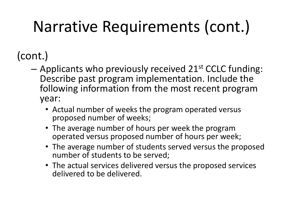(cont.)

- $-$  Applicants who previously received 21st CCLC funding: Describe past program implementation. Include the following information from the most recent program year:
	- Actual number of weeks the program operated versus proposed number of weeks;
	- The average number of hours per week the program operated versus proposed number of hours per week;
	- The average number of students served versus the proposed number of students to be served;
	- The actual services delivered versus the proposed services delivered to be delivered.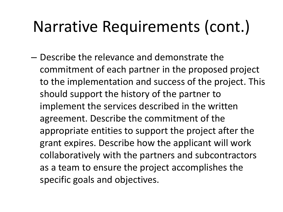– Describe the relevance and demonstrate the commitment of each partner in the proposed project to the implementation and success of the project. This should support the history of the partner to implement the services described in the written agreement. Describe the commitment of the appropriate entities to support the project after the grant expires. Describe how the applicant will work collaboratively with the partners and subcontractors as a team to ensure the project accomplishes the specific goals and objectives.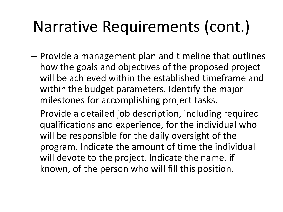- Provide a management plan and timeline that outlines how the goals and objectives of the proposed project will be achieved within the established timeframe and within the budget parameters. Identify the major milestones for accomplishing project tasks.
- Provide a detailed job description, including required qualifications and experience, for the individual who will be responsible for the daily oversight of the program. Indicate the amount of time the individual will devote to the project. Indicate the name, if known, of the person who will fill this position.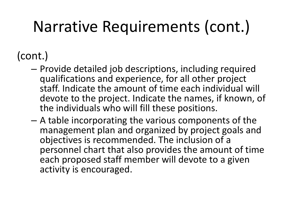#### (cont.)

- Provide detailed job descriptions, including required qualifications and experience, for all other project staff. Indicate the amount of time each individual will devote to the project. Indicate the names, if known, of the individuals who will fill these positions.
- A table incorporating the various components of the management plan and organized by project goals and objectives is recommended. The inclusion of a personnel chart that also provides the amount of time each proposed staff member will devote to a given activity is encouraged.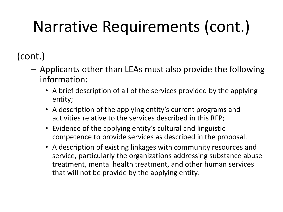(cont.)

- Applicants other than LEAs must also provide the following information:
	- A brief description of all of the services provided by the applying entity;
	- A description of the applying entity's current programs and activities relative to the services described in this RFP;
	- Evidence of the applying entity's cultural and linguistic competence to provide services as described in the proposal.
	- A description of existing linkages with community resources and service, particularly the organizations addressing substance abuse treatment, mental health treatment, and other human services that will not be provide by the applying entity.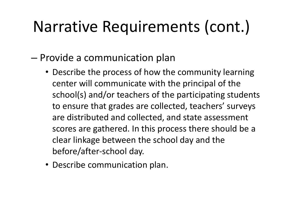– Provide a communication plan

- Describe the process of how the community learning center will communicate with the principal of the school(s) and/or teachers of the participating students to ensure that grades are collected, teachers' surveys are distributed and collected, and state assessment scores are gathered. In this process there should be a clear linkage between the school day and the before/after-school day.
- Describe communication plan.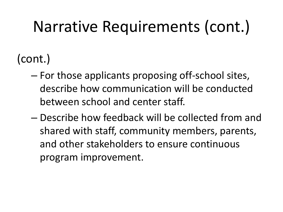(cont.)

- For those applicants proposing off-school sites, describe how communication will be conducted between school and center staff.
- Describe how feedback will be collected from and shared with staff, community members, parents, and other stakeholders to ensure continuous program improvement.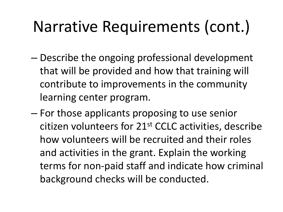- Describe the ongoing professional development that will be provided and how that training will contribute to improvements in the community learning center program.
- For those applicants proposing to use senior citizen volunteers for 21st CCLC activities, describe how volunteers will be recruited and their roles and activities in the grant. Explain the working terms for non-paid staff and indicate how criminal background checks will be conducted.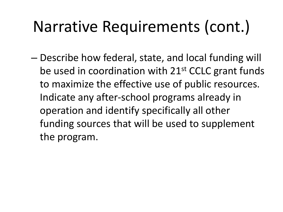– Describe how federal, state, and local funding will be used in coordination with 21<sup>st</sup> CCLC grant funds to maximize the effective use of public resources. Indicate any after-school programs already in operation and identify specifically all other funding sources that will be used to supplement the program.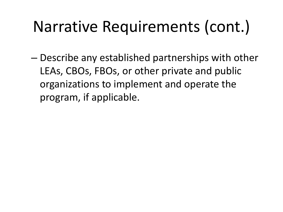– Describe any established partnerships with other LEAs, CBOs, FBOs, or other private and public organizations to implement and operate the program, if applicable.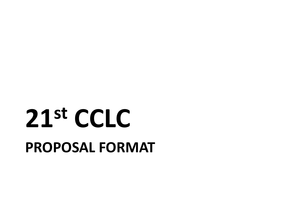# **PROPOSAL FORMAT 21st CCLC**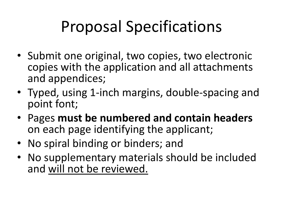# Proposal Specifications

- Submit one original, two copies, two electronic copies with the application and all attachments and appendices;
- Typed, using 1-inch margins, double-spacing and point font;
- Pages **must be numbered and contain headers** on each page identifying the applicant;
- No spiral binding or binders; and
- No supplementary materials should be included and will not be reviewed.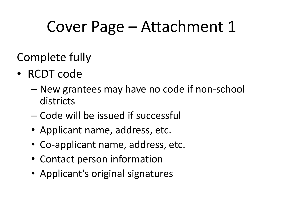#### Cover Page – Attachment 1

Complete fully

- RCDT code
	- New grantees may have no code if non-school districts
	- Code will be issued if successful
	- Applicant name, address, etc.
	- Co-applicant name, address, etc.
	- Contact person information
	- Applicant's original signatures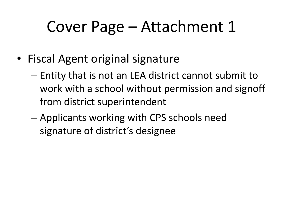#### Cover Page – Attachment 1

- Fiscal Agent original signature
	- Entity that is not an LEA district cannot submit to work with a school without permission and signoff from district superintendent
	- Applicants working with CPS schools need signature of district's designee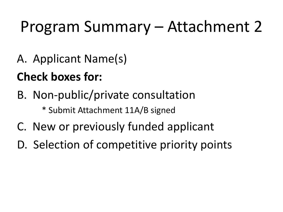# Program Summary – Attachment 2

A. Applicant Name(s)

#### **Check boxes for:**

B. Non-public/private consultation

\* Submit Attachment 11A/B signed

- C. New or previously funded applicant
- D. Selection of competitive priority points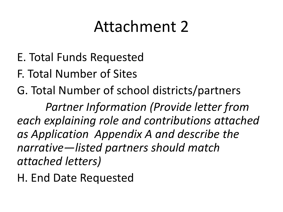#### Attachment 2

- E. Total Funds Requested
- F. Total Number of Sites
- G. Total Number of school districts/partners

*Partner Information (Provide letter from each explaining role and contributions attached as Application Appendix A and describe the narrative—listed partners should match attached letters)* 

H. End Date Requested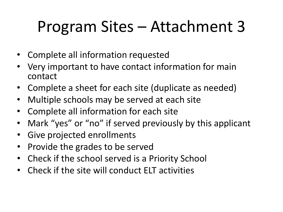# Program Sites – Attachment 3

- Complete all information requested
- Very important to have contact information for main contact
- Complete a sheet for each site (duplicate as needed)
- Multiple schools may be served at each site
- Complete all information for each site
- Mark "yes" or "no" if served previously by this applicant
- Give projected enrollments
- Provide the grades to be served
- Check if the school served is a Priority School
- Check if the site will conduct ELT activities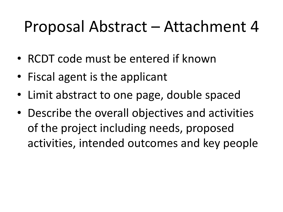#### Proposal Abstract – Attachment 4

- RCDT code must be entered if known
- Fiscal agent is the applicant
- Limit abstract to one page, double spaced
- Describe the overall objectives and activities of the project including needs, proposed activities, intended outcomes and key people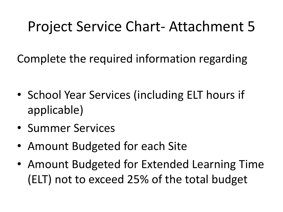#### Project Service Chart- Attachment 5

Complete the required information regarding

- School Year Services (including ELT hours if applicable)
- Summer Services
- Amount Budgeted for each Site
- Amount Budgeted for Extended Learning Time (ELT) not to exceed 25% of the total budget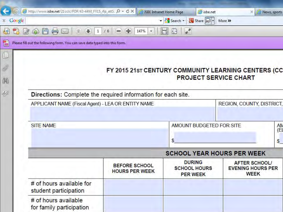|                 | http://www.isbe.net/21cclc/PDF/43-44M_FY15_rfp_att5. $\mathcal{Q} - \mathcal{C} \times \mathbb{R}$ ISBE Intranet Home Page |                                               | sbe.net                                                 | ×                                                               |  |  |  |
|-----------------|----------------------------------------------------------------------------------------------------------------------------|-----------------------------------------------|---------------------------------------------------------|-----------------------------------------------------------------|--|--|--|
| $\times$ Google |                                                                                                                            |                                               | - <mark>상</mark> Search - <mark>한</mark> Share 모네       | News, sports<br>More >>                                         |  |  |  |
| <b>F3</b><br>电  | E<br>$\mathbb{Z}$<br>$1\,$<br>$\omega$                                                                                     | 147%<br>/6<br>酬                               |                                                         |                                                                 |  |  |  |
| 間               | Please fill out the following form. You can save data typed into this form.                                                |                                               |                                                         |                                                                 |  |  |  |
| $\Box$          |                                                                                                                            |                                               |                                                         |                                                                 |  |  |  |
| Ø               |                                                                                                                            |                                               |                                                         | FY 2015 21st CENTURY COMMUNITY LEARNING CENTERS (CC             |  |  |  |
| 菌               |                                                                                                                            |                                               | <b>PROJECT SERVICE CHART</b>                            |                                                                 |  |  |  |
| $\mathcal{L}$   |                                                                                                                            |                                               |                                                         |                                                                 |  |  |  |
|                 | Directions: Complete the required information for each site.                                                               |                                               |                                                         |                                                                 |  |  |  |
|                 | APPLICANT NAME (Fiscal Agent) - LEA OR ENTITY NAME<br>REGION, COUNTY, DISTRICT,                                            |                                               |                                                         |                                                                 |  |  |  |
|                 | <b>SITE NAME</b>                                                                                                           |                                               | <b>AMOUNT BUDGETED FOR SITE</b><br><b>AN</b><br>(EL     |                                                                 |  |  |  |
|                 |                                                                                                                            |                                               | \$                                                      | $S_{-}$                                                         |  |  |  |
|                 | <b>SCHOOL YEAR HOURS PER WEEK</b>                                                                                          |                                               |                                                         |                                                                 |  |  |  |
|                 |                                                                                                                            | <b>BEFORE SCHOOL</b><br><b>HOURS PER WEEK</b> | <b>DURING</b><br><b>SCHOOL HOURS</b><br><b>PER WEEK</b> | <b>AFTER SCHOOL/</b><br><b>EVENING HOURS PER</b><br><b>WEEK</b> |  |  |  |
|                 | # of hours available for<br>student participation                                                                          |                                               |                                                         |                                                                 |  |  |  |
|                 | # of hours available<br>for family participation                                                                           |                                               |                                                         |                                                                 |  |  |  |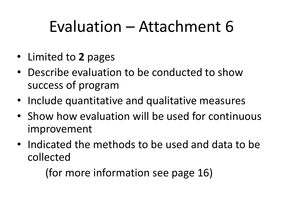#### Evaluation – Attachment 6

- Limited to **2** pages
- Describe evaluation to be conducted to show success of program
- Include quantitative and qualitative measures
- Show how evaluation will be used for continuous improvement
- Indicated the methods to be used and data to be collected

(for more information see page 16)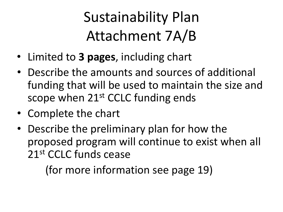#### Sustainability Plan Attachment 7A/B

- Limited to **3 pages**, including chart
- Describe the amounts and sources of additional funding that will be used to maintain the size and scope when 21<sup>st</sup> CCLC funding ends
- Complete the chart
- Describe the preliminary plan for how the proposed program will continue to exist when all 21st CCLC funds cease

(for more information see page 19)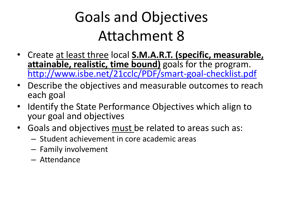#### Goals and Objectives Attachment 8

- Create at least three local **S.M.A.R.T. (specific, measurable,**  attainable, realistic, time bound) goals for the program. <http://www.isbe.net/21cclc/PDF/smart-goal-checklist.pdf>
- Describe the objectives and measurable outcomes to reach each goal
- Identify the State Performance Objectives which align to your goal and objectives
- Goals and objectives must be related to areas such as:
	- Student achievement in core academic areas
	- Family involvement
	- Attendance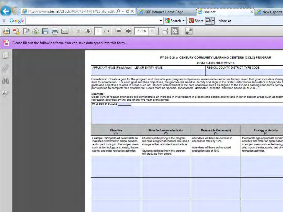| http://www.isbe.net/21cclc/PDF/43-44M_FY15_rfp_att8. Q = C X                     |                                                                                                                                                                                                                                 | <b>BISBE Intranet Home Page</b>                                                                                                                                                                                                                                                                                                                                                                                                                                                                                                                                                                         | isbe.net                                                                                                                      | ×<br>News, sports                                                                                                                                                                        |  |  |
|----------------------------------------------------------------------------------|---------------------------------------------------------------------------------------------------------------------------------------------------------------------------------------------------------------------------------|---------------------------------------------------------------------------------------------------------------------------------------------------------------------------------------------------------------------------------------------------------------------------------------------------------------------------------------------------------------------------------------------------------------------------------------------------------------------------------------------------------------------------------------------------------------------------------------------------------|-------------------------------------------------------------------------------------------------------------------------------|------------------------------------------------------------------------------------------------------------------------------------------------------------------------------------------|--|--|
| Google<br>x.                                                                     |                                                                                                                                                                                                                                 | Search +                                                                                                                                                                                                                                                                                                                                                                                                                                                                                                                                                                                                | <b>图</b> Share 日<br>More >>                                                                                                   |                                                                                                                                                                                          |  |  |
| $\mathscr{B}$                                                                    | 13<br>1                                                                                                                                                                                                                         | a <sup>7</sup><br>73.3%                                                                                                                                                                                                                                                                                                                                                                                                                                                                                                                                                                                 |                                                                                                                               |                                                                                                                                                                                          |  |  |
| 2<br>Please fill out the following form. You can save data typed into this form. |                                                                                                                                                                                                                                 |                                                                                                                                                                                                                                                                                                                                                                                                                                                                                                                                                                                                         |                                                                                                                               |                                                                                                                                                                                          |  |  |
|                                                                                  |                                                                                                                                                                                                                                 |                                                                                                                                                                                                                                                                                                                                                                                                                                                                                                                                                                                                         | FY 2015 21st CENTURY COMMUNITY LEARNING CENTERS (CCLC) PROGRAM                                                                |                                                                                                                                                                                          |  |  |
|                                                                                  | <b>GOALS AND OBJECTIVES</b>                                                                                                                                                                                                     |                                                                                                                                                                                                                                                                                                                                                                                                                                                                                                                                                                                                         |                                                                                                                               |                                                                                                                                                                                          |  |  |
| <b>Department</b>                                                                | APPLICANT NAME (Fiscal Agent) - LEA OR ENTITY NAME                                                                                                                                                                              |                                                                                                                                                                                                                                                                                                                                                                                                                                                                                                                                                                                                         | REGION, COUNTY, DISTRICT, TYPE CODE                                                                                           |                                                                                                                                                                                          |  |  |
| 歵                                                                                |                                                                                                                                                                                                                                 | Directions: Create a goal for the program and describe your program's objectives; measurable outcomes to help reach that goal; include a strateg<br>date for completion. For each goal and their objectives, the grantee will need to identify and align to the State Performance Indicators in Appendix A<br>goals and objectives related to areas such as: student achievement in the core academic areas as aligned to the Illinois Learning Standards, family<br>participation to complete this attachment. Goals must be specific, measurable, attainable, realistic, and time bound (S.M.A.R.T.). |                                                                                                                               |                                                                                                                                                                                          |  |  |
| $\mathcal{L}^{\rho}$                                                             | Example:<br>recreation activities by the end of the five-year grant period.                                                                                                                                                     | Goal: 70% of regular attendees will demonstrate an increase in involvement in at least one school activity and in other subject areas such as techn                                                                                                                                                                                                                                                                                                                                                                                                                                                     |                                                                                                                               |                                                                                                                                                                                          |  |  |
|                                                                                  | <b>Objective</b><br>(1)                                                                                                                                                                                                         | <b>State Performance Indicator</b><br>(2)                                                                                                                                                                                                                                                                                                                                                                                                                                                                                                                                                               | <b>Measurable Outcome(s)</b><br>(3)                                                                                           | <b>Strategy or Activity</b><br>(4)                                                                                                                                                       |  |  |
|                                                                                  | Example: Participants will demonstrate an<br>increased involvement in school activities<br>and in participating in other subject areas<br>such as technology, arts, music, theater,<br>sports, and other recreation activities. | Students participating in the program<br>will have a higher attendance rate and a<br>change in their attitudes toward school.<br>Students participating in the program<br>will graduate from school.                                                                                                                                                                                                                                                                                                                                                                                                    | Attendees will have an increase in<br>attendance rates by 10%.<br>Attendees will have an increased<br>graduation rate of 10%. | Incorporate age-appropriate enrichn<br>activities that foster an appreciation<br>in subject areas such as technology<br>arts, music, theater, sports, and othe<br>recreation activities. |  |  |
|                                                                                  |                                                                                                                                                                                                                                 |                                                                                                                                                                                                                                                                                                                                                                                                                                                                                                                                                                                                         |                                                                                                                               |                                                                                                                                                                                          |  |  |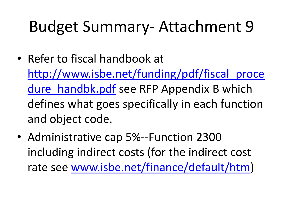#### Budget Summary- Attachment 9

- Refer to fiscal handbook at [http://www.isbe.net/funding/pdf/fiscal\\_proce](http://www.isbe.net/funding/pdf/fiscal_procedure_handbk.pdf) dure handbk.pdf see RFP Appendix B which defines what goes specifically in each function and object code.
- Administrative cap 5%--Function 2300 including indirect costs (for the indirect cost rate see [www.isbe.net/finance/default/htm](http://www.isbe.net/finance/default/htm))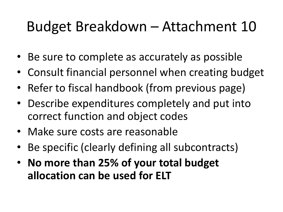#### Budget Breakdown – Attachment 10

- Be sure to complete as accurately as possible
- Consult financial personnel when creating budget
- Refer to fiscal handbook (from previous page)
- Describe expenditures completely and put into correct function and object codes
- Make sure costs are reasonable
- Be specific (clearly defining all subcontracts)
- **No more than 25% of your total budget allocation can be used for ELT**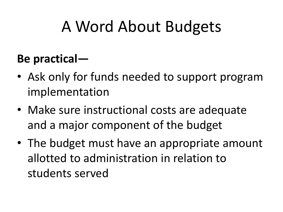# A Word About Budgets

#### **Be practical—**

- Ask only for funds needed to support program implementation
- Make sure instructional costs are adequate and a major component of the budget
- The budget must have an appropriate amount allotted to administration in relation to students served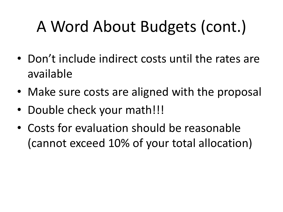# A Word About Budgets (cont.)

- Don't include indirect costs until the rates are available
- Make sure costs are aligned with the proposal
- Double check your math!!!
- Costs for evaluation should be reasonable (cannot exceed 10% of your total allocation)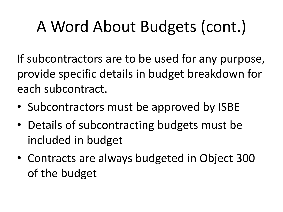# A Word About Budgets (cont.)

If subcontractors are to be used for any purpose, provide specific details in budget breakdown for each subcontract.

- Subcontractors must be approved by ISBE
- Details of subcontracting budgets must be included in budget
- Contracts are always budgeted in Object 300 of the budget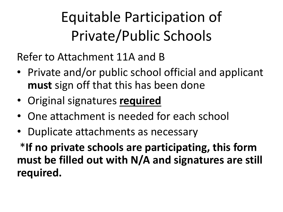## Equitable Participation of Private/Public Schools

Refer to Attachment 11A and B

- Private and/or public school official and applicant **must** sign off that this has been done
- Original signatures **required**
- One attachment is needed for each school
- Duplicate attachments as necessary

\***If no private schools are participating, this form must be filled out with N/A and signatures are still required.**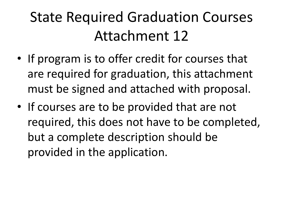#### State Required Graduation Courses Attachment 12

- If program is to offer credit for courses that are required for graduation, this attachment must be signed and attached with proposal.
- If courses are to be provided that are not required, this does not have to be completed, but a complete description should be provided in the application.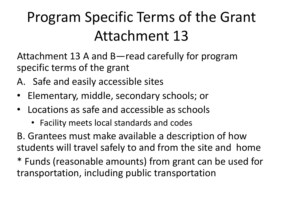Attachment 13 A and B—read carefully for program specific terms of the grant

- A. Safe and easily accessible sites
- Elementary, middle, secondary schools; or
- Locations as safe and accessible as schools
	- Facility meets local standards and codes

B. Grantees must make available a description of how students will travel safely to and from the site and home

\* Funds (reasonable amounts) from grant can be used for transportation, including public transportation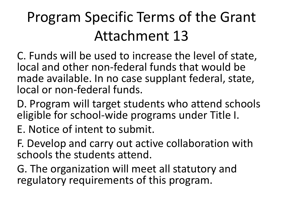C. Funds will be used to increase the level of state, local and other non-federal funds that would be made available. In no case supplant federal, state, local or non-federal funds.

D. Program will target students who attend schools eligible for school-wide programs under Title I.

E. Notice of intent to submit.

F. Develop and carry out active collaboration with schools the students attend.

G. The organization will meet all statutory and regulatory requirements of this program.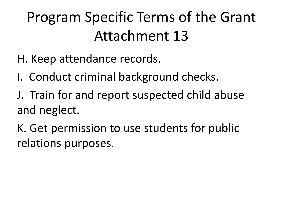- H. Keep attendance records.
- I. Conduct criminal background checks.
- J. Train for and report suspected child abuse and neglect.
- K. Get permission to use students for public relations purposes.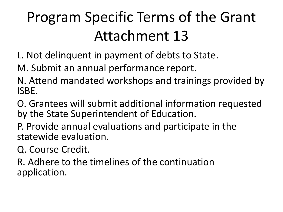L. Not delinquent in payment of debts to State.

M. Submit an annual performance report.

- N. Attend mandated workshops and trainings provided by ISBE.
- O. Grantees will submit additional information requested by the State Superintendent of Education.
- P. Provide annual evaluations and participate in the statewide evaluation.
- Q. Course Credit.
- R. Adhere to the timelines of the continuation application.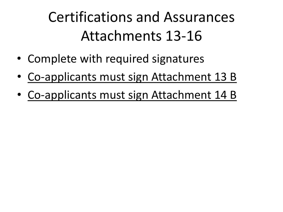#### Certifications and Assurances Attachments 13-16

- Complete with required signatures
- Co-applicants must sign Attachment 13 B
- Co-applicants must sign Attachment 14 B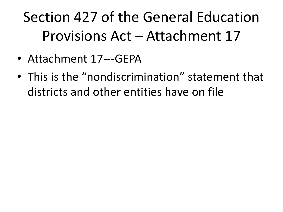## Section 427 of the General Education Provisions Act – Attachment 17

- Attachment 17---GEPA
- This is the "nondiscrimination" statement that districts and other entities have on file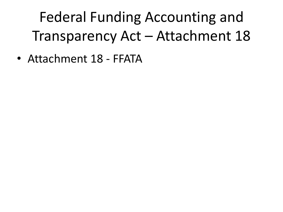Federal Funding Accounting and Transparency Act – Attachment 18

• Attachment 18 - FFATA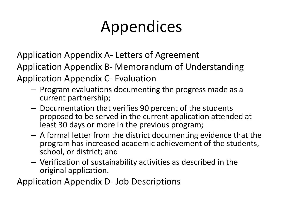# Appendices

Application Appendix A- Letters of Agreement

Application Appendix B- Memorandum of Understanding

Application Appendix C- Evaluation

- Program evaluations documenting the progress made as a current partnership;
- Documentation that verifies 90 percent of the students proposed to be served in the current application attended at least 30 days or more in the previous program;
- A formal letter from the district documenting evidence that the program has increased academic achievement of the students, school, or district; and
- Verification of sustainability activities as described in the original application.

Application Appendix D- Job Descriptions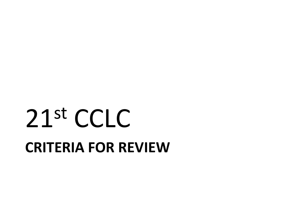# **CRITERIA FOR REVIEW**  21st CCLC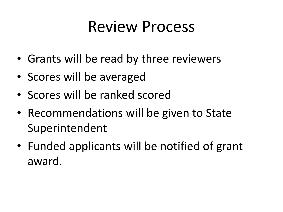#### Review Process

- Grants will be read by three reviewers
- Scores will be averaged
- Scores will be ranked scored
- Recommendations will be given to State Superintendent
- Funded applicants will be notified of grant award.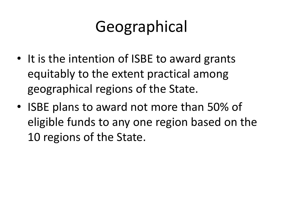# Geographical

- It is the intention of ISBE to award grants equitably to the extent practical among geographical regions of the State.
- ISBE plans to award not more than 50% of eligible funds to any one region based on the 10 regions of the State.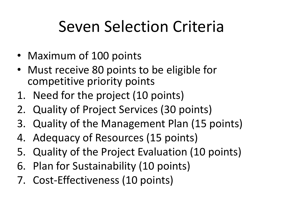# Seven Selection Criteria

- Maximum of 100 points
- Must receive 80 points to be eligible for competitive priority points
- 1. Need for the project (10 points)
- 2. Quality of Project Services (30 points)
- 3. Quality of the Management Plan (15 points)
- 4. Adequacy of Resources (15 points)
- 5. Quality of the Project Evaluation (10 points)
- 6. Plan for Sustainability (10 points)
- 7. Cost-Effectiveness (10 points)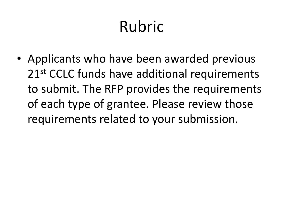# Rubric

• Applicants who have been awarded previous 21<sup>st</sup> CCLC funds have additional requirements to submit. The RFP provides the requirements of each type of grantee. Please review those requirements related to your submission.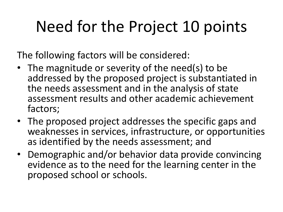# Need for the Project 10 points

The following factors will be considered:

- The magnitude or severity of the need(s) to be addressed by the proposed project is substantiated in the needs assessment and in the analysis of state assessment results and other academic achievement factors;
- The proposed project addresses the specific gaps and weaknesses in services, infrastructure, or opportunities as identified by the needs assessment; and
- Demographic and/or behavior data provide convincing evidence as to the need for the learning center in the proposed school or schools.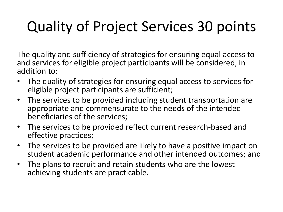#### Quality of Project Services 30 points

The quality and sufficiency of strategies for ensuring equal access to and services for eligible project participants will be considered, in addition to:

- The quality of strategies for ensuring equal access to services for eligible project participants are sufficient;
- The services to be provided including student transportation are appropriate and commensurate to the needs of the intended beneficiaries of the services;
- The services to be provided reflect current research-based and effective practices;
- The services to be provided are likely to have a positive impact on student academic performance and other intended outcomes; and
- The plans to recruit and retain students who are the lowest achieving students are practicable.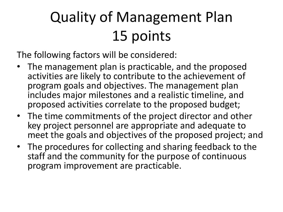### Quality of Management Plan 15 points

The following factors will be considered:

- The management plan is practicable, and the proposed activities are likely to contribute to the achievement of program goals and objectives. The management plan includes major milestones and a realistic timeline, and proposed activities correlate to the proposed budget;
- The time commitments of the project director and other key project personnel are appropriate and adequate to meet the goals and objectives of the proposed project; and
- The procedures for collecting and sharing feedback to the staff and the community for the purpose of continuous program improvement are practicable.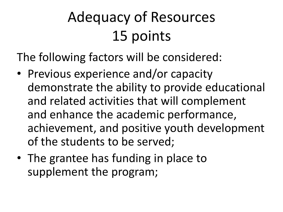## Adequacy of Resources 15 points

The following factors will be considered:

- Previous experience and/or capacity demonstrate the ability to provide educational and related activities that will complement and enhance the academic performance, achievement, and positive youth development of the students to be served;
- The grantee has funding in place to supplement the program;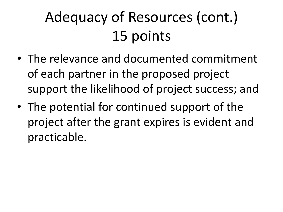# Adequacy of Resources (cont.) 15 points

- The relevance and documented commitment of each partner in the proposed project support the likelihood of project success; and
- The potential for continued support of the project after the grant expires is evident and practicable.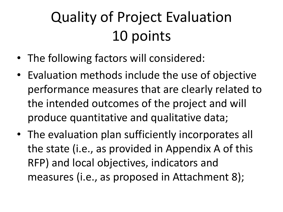## Quality of Project Evaluation 10 points

- The following factors will considered:
- Evaluation methods include the use of objective performance measures that are clearly related to the intended outcomes of the project and will produce quantitative and qualitative data;
- The evaluation plan sufficiently incorporates all the state (i.e., as provided in Appendix A of this RFP) and local objectives, indicators and measures (i.e., as proposed in Attachment 8);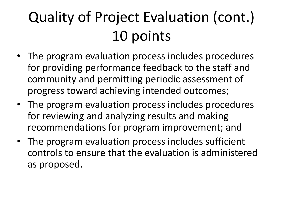# Quality of Project Evaluation (cont.) 10 points

- The program evaluation process includes procedures for providing performance feedback to the staff and community and permitting periodic assessment of progress toward achieving intended outcomes;
- The program evaluation process includes procedures for reviewing and analyzing results and making recommendations for program improvement; and
- The program evaluation process includes sufficient controls to ensure that the evaluation is administered as proposed.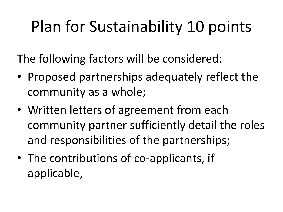# Plan for Sustainability 10 points

The following factors will be considered:

- Proposed partnerships adequately reflect the community as a whole;
- Written letters of agreement from each community partner sufficiently detail the roles and responsibilities of the partnerships;
- The contributions of co-applicants, if applicable,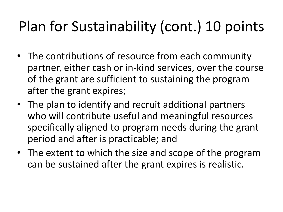#### Plan for Sustainability (cont.) 10 points

- The contributions of resource from each community partner, either cash or in-kind services, over the course of the grant are sufficient to sustaining the program after the grant expires;
- The plan to identify and recruit additional partners who will contribute useful and meaningful resources specifically aligned to program needs during the grant period and after is practicable; and
- The extent to which the size and scope of the program can be sustained after the grant expires is realistic.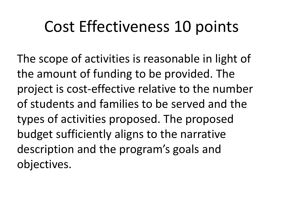## Cost Effectiveness 10 points

The scope of activities is reasonable in light of the amount of funding to be provided. The project is cost-effective relative to the number of students and families to be served and the types of activities proposed. The proposed budget sufficiently aligns to the narrative description and the program's goals and objectives.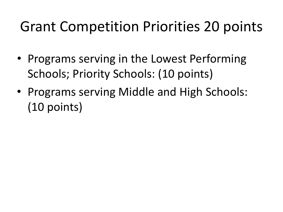#### Grant Competition Priorities 20 points

- Programs serving in the Lowest Performing Schools; Priority Schools: (10 points)
- Programs serving Middle and High Schools: (10 points)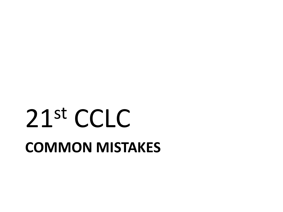# **COMMON MISTAKES**  21st CCLC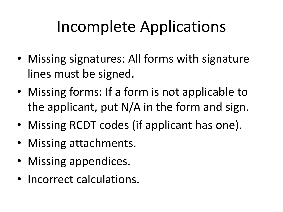## Incomplete Applications

- Missing signatures: All forms with signature lines must be signed.
- Missing forms: If a form is not applicable to the applicant, put N/A in the form and sign.
- Missing RCDT codes (if applicant has one).
- Missing attachments.
- Missing appendices.
- Incorrect calculations.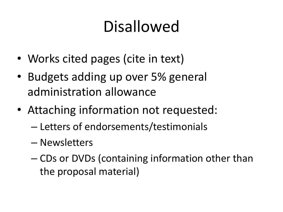# Disallowed

- Works cited pages (cite in text)
- Budgets adding up over 5% general administration allowance
- Attaching information not requested:
	- Letters of endorsements/testimonials
	- Newsletters
	- CDs or DVDs (containing information other than the proposal material)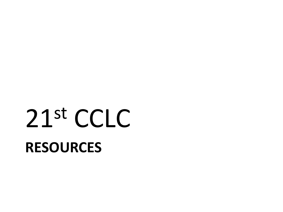# **RESOURCES**  21st CCLC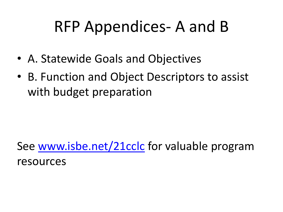## RFP Appendices- A and B

- A. Statewide Goals and Objectives
- B. Function and Object Descriptors to assist with budget preparation

See [www.isbe.net/21cclc](http://www.isbe.net/21cclc) for valuable program resources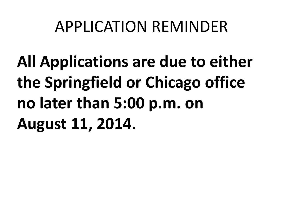#### APPLICATION REMINDER

**All Applications are due to either the Springfield or Chicago office no later than 5:00 p.m. on August 11, 2014.**